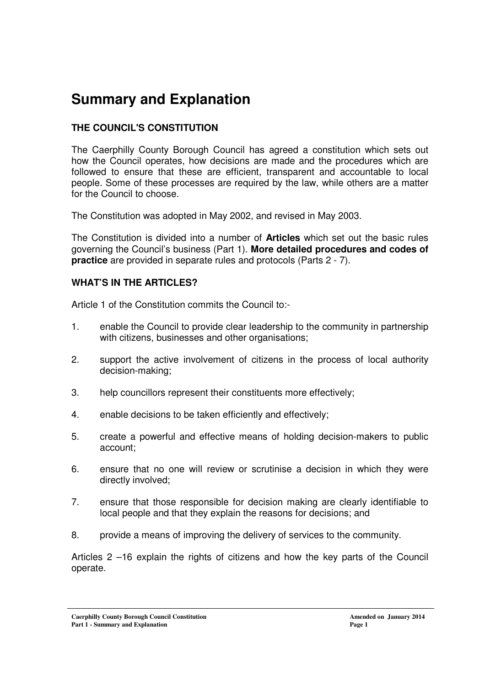## **Summary and Explanation**

## **THE COUNCIL'S CONSTITUTION**

The Caerphilly County Borough Council has agreed a constitution which sets out how the Council operates, how decisions are made and the procedures which are followed to ensure that these are efficient, transparent and accountable to local people. Some of these processes are required by the law, while others are a matter for the Council to choose.

The Constitution was adopted in May 2002, and revised in May 2003.

The Constitution is divided into a number of **Articles** which set out the basic rules governing the Council's business (Part 1). **More detailed procedures and codes of practice** are provided in separate rules and protocols (Parts 2 - 7).

#### **WHAT'S IN THE ARTICLES?**

Article 1 of the Constitution commits the Council to:-

- 1. enable the Council to provide clear leadership to the community in partnership with citizens, businesses and other organisations;
- 2. support the active involvement of citizens in the process of local authority decision-making;
- 3. help councillors represent their constituents more effectively;
- 4. enable decisions to be taken efficiently and effectively;
- 5. create a powerful and effective means of holding decision-makers to public account;
- 6. ensure that no one will review or scrutinise a decision in which they were directly involved;
- 7. ensure that those responsible for decision making are clearly identifiable to local people and that they explain the reasons for decisions; and
- 8. provide a means of improving the delivery of services to the community.

Articles 2 –16 explain the rights of citizens and how the key parts of the Council operate.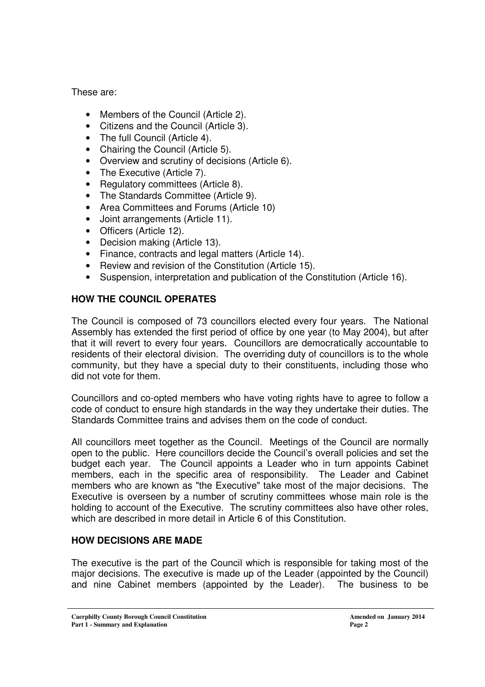These are:

- Members of the Council (Article 2).
- Citizens and the Council (Article 3).
- The full Council (Article 4).
- Chairing the Council (Article 5).
- Overview and scrutiny of decisions (Article 6).
- The Executive (Article 7).
- Regulatory committees (Article 8).
- The Standards Committee (Article 9).
- Area Committees and Forums (Article 10)
- Joint arrangements (Article 11).
- Officers (Article 12).
- Decision making (Article 13).
- Finance, contracts and legal matters (Article 14).
- Review and revision of the Constitution (Article 15).
- Suspension, interpretation and publication of the Constitution (Article 16).

## **HOW THE COUNCIL OPERATES**

The Council is composed of 73 councillors elected every four years. The National Assembly has extended the first period of office by one year (to May 2004), but after that it will revert to every four years. Councillors are democratically accountable to residents of their electoral division. The overriding duty of councillors is to the whole community, but they have a special duty to their constituents, including those who did not vote for them.

Councillors and co-opted members who have voting rights have to agree to follow a code of conduct to ensure high standards in the way they undertake their duties. The Standards Committee trains and advises them on the code of conduct.

All councillors meet together as the Council. Meetings of the Council are normally open to the public. Here councillors decide the Council's overall policies and set the budget each year. The Council appoints a Leader who in turn appoints Cabinet members, each in the specific area of responsibility. The Leader and Cabinet members who are known as "the Executive" take most of the major decisions. The Executive is overseen by a number of scrutiny committees whose main role is the holding to account of the Executive. The scrutiny committees also have other roles, which are described in more detail in Article 6 of this Constitution.

#### **HOW DECISIONS ARE MADE**

The executive is the part of the Council which is responsible for taking most of the major decisions. The executive is made up of the Leader (appointed by the Council) and nine Cabinet members (appointed by the Leader). The business to be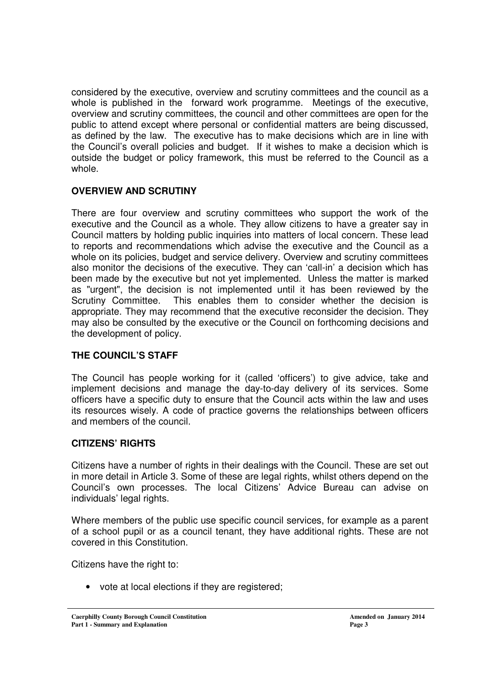considered by the executive, overview and scrutiny committees and the council as a whole is published in the forward work programme. Meetings of the executive, overview and scrutiny committees, the council and other committees are open for the public to attend except where personal or confidential matters are being discussed, as defined by the law. The executive has to make decisions which are in line with the Council's overall policies and budget. If it wishes to make a decision which is outside the budget or policy framework, this must be referred to the Council as a whole.

## **OVERVIEW AND SCRUTINY**

There are four overview and scrutiny committees who support the work of the executive and the Council as a whole. They allow citizens to have a greater say in Council matters by holding public inquiries into matters of local concern. These lead to reports and recommendations which advise the executive and the Council as a whole on its policies, budget and service delivery. Overview and scrutiny committees also monitor the decisions of the executive. They can 'call-in' a decision which has been made by the executive but not yet implemented. Unless the matter is marked as "urgent", the decision is not implemented until it has been reviewed by the Scrutiny Committee. This enables them to consider whether the decision is appropriate. They may recommend that the executive reconsider the decision. They may also be consulted by the executive or the Council on forthcoming decisions and the development of policy.

## **THE COUNCIL'S STAFF**

The Council has people working for it (called 'officers') to give advice, take and implement decisions and manage the day-to-day delivery of its services. Some officers have a specific duty to ensure that the Council acts within the law and uses its resources wisely. A code of practice governs the relationships between officers and members of the council.

#### **CITIZENS' RIGHTS**

Citizens have a number of rights in their dealings with the Council. These are set out in more detail in Article 3. Some of these are legal rights, whilst others depend on the Council's own processes. The local Citizens' Advice Bureau can advise on individuals' legal rights.

Where members of the public use specific council services, for example as a parent of a school pupil or as a council tenant, they have additional rights. These are not covered in this Constitution.

Citizens have the right to:

• vote at local elections if they are registered;